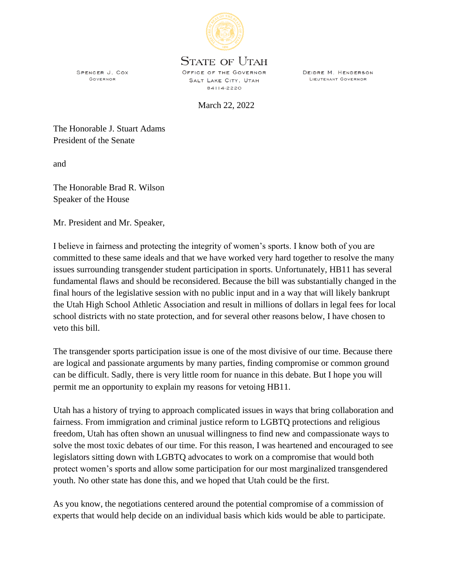

## **STATE OF UTAH**

SPENCER J. COX **GOVERNOR** 

OFFICE OF THE GOVERNOR SALT LAKE CITY, UTAH 84114-2220

LIEUTENANT GOVERNOR

DEIDRE M. HENDERSON

March 22, 2022

The Honorable J. Stuart Adams President of the Senate

and

The Honorable Brad R. Wilson Speaker of the House

Mr. President and Mr. Speaker,

I believe in fairness and protecting the integrity of women's sports. I know both of you are committed to these same ideals and that we have worked very hard together to resolve the many issues surrounding transgender student participation in sports. Unfortunately, HB11 has several fundamental flaws and should be reconsidered. Because the bill was substantially changed in the final hours of the legislative session with no public input and in a way that will likely bankrupt the Utah High School Athletic Association and result in millions of dollars in legal fees for local school districts with no state protection, and for several other reasons below, I have chosen to veto this bill.

The transgender sports participation issue is one of the most divisive of our time. Because there are logical and passionate arguments by many parties, finding compromise or common ground can be difficult. Sadly, there is very little room for nuance in this debate. But I hope you will permit me an opportunity to explain my reasons for vetoing HB11.

Utah has a history of trying to approach complicated issues in ways that bring collaboration and fairness. From immigration and criminal justice reform to LGBTQ protections and religious freedom, Utah has often shown an unusual willingness to find new and compassionate ways to solve the most toxic debates of our time. For this reason, I was heartened and encouraged to see legislators sitting down with LGBTQ advocates to work on a compromise that would both protect women's sports and allow some participation for our most marginalized transgendered youth. No other state has done this, and we hoped that Utah could be the first.

As you know, the negotiations centered around the potential compromise of a commission of experts that would help decide on an individual basis which kids would be able to participate.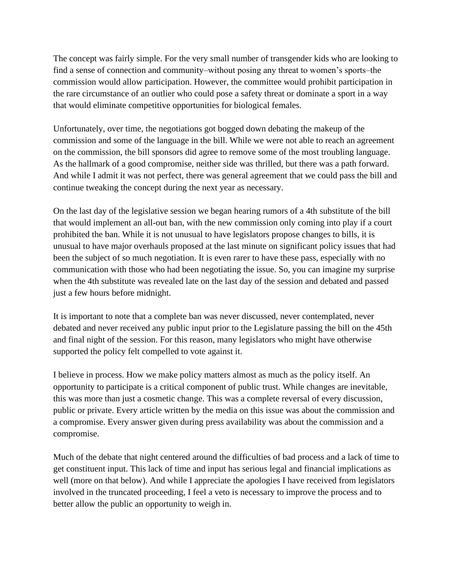The concept was fairly simple. For the very small number of transgender kids who are looking to find a sense of connection and community–without posing any threat to women's sports–the commission would allow participation. However, the committee would prohibit participation in the rare circumstance of an outlier who could pose a safety threat or dominate a sport in a way that would eliminate competitive opportunities for biological females.

Unfortunately, over time, the negotiations got bogged down debating the makeup of the commission and some of the language in the bill. While we were not able to reach an agreement on the commission, the bill sponsors did agree to remove some of the most troubling language. As the hallmark of a good compromise, neither side was thrilled, but there was a path forward. And while I admit it was not perfect, there was general agreement that we could pass the bill and continue tweaking the concept during the next year as necessary.

On the last day of the legislative session we began hearing rumors of a 4th substitute of the bill that would implement an all-out ban, with the new commission only coming into play if a court prohibited the ban. While it is not unusual to have legislators propose changes to bills, it is unusual to have major overhauls proposed at the last minute on significant policy issues that had been the subject of so much negotiation. It is even rarer to have these pass, especially with no communication with those who had been negotiating the issue. So, you can imagine my surprise when the 4th substitute was revealed late on the last day of the session and debated and passed just a few hours before midnight.

It is important to note that a complete ban was never discussed, never contemplated, never debated and never received any public input prior to the Legislature passing the bill on the 45th and final night of the session. For this reason, many legislators who might have otherwise supported the policy felt compelled to vote against it.

I believe in process. How we make policy matters almost as much as the policy itself. An opportunity to participate is a critical component of public trust. While changes are inevitable, this was more than just a cosmetic change. This was a complete reversal of every discussion, public or private. Every article written by the media on this issue was about the commission and a compromise. Every answer given during press availability was about the commission and a compromise.

Much of the debate that night centered around the difficulties of bad process and a lack of time to get constituent input. This lack of time and input has serious legal and financial implications as well (more on that below). And while I appreciate the apologies I have received from legislators involved in the truncated proceeding, I feel a veto is necessary to improve the process and to better allow the public an opportunity to weigh in.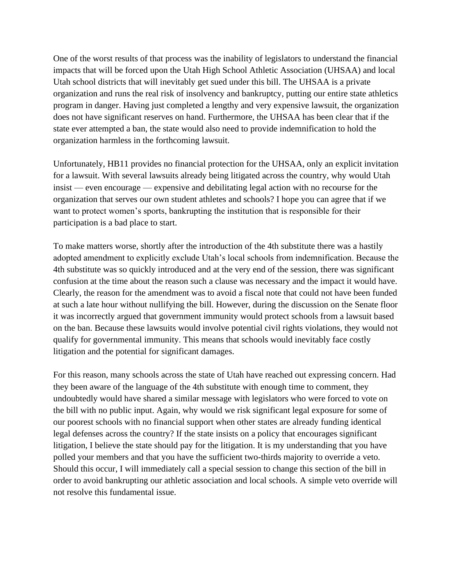One of the worst results of that process was the inability of legislators to understand the financial impacts that will be forced upon the Utah High School Athletic Association (UHSAA) and local Utah school districts that will inevitably get sued under this bill. The UHSAA is a private organization and runs the real risk of insolvency and bankruptcy, putting our entire state athletics program in danger. Having just completed a lengthy and very expensive lawsuit, the organization does not have significant reserves on hand. Furthermore, the UHSAA has been clear that if the state ever attempted a ban, the state would also need to provide indemnification to hold the organization harmless in the forthcoming lawsuit.

Unfortunately, HB11 provides no financial protection for the UHSAA, only an explicit invitation for a lawsuit. With several lawsuits already being litigated across the country, why would Utah insist — even encourage — expensive and debilitating legal action with no recourse for the organization that serves our own student athletes and schools? I hope you can agree that if we want to protect women's sports, bankrupting the institution that is responsible for their participation is a bad place to start.

To make matters worse, shortly after the introduction of the 4th substitute there was a hastily adopted amendment to explicitly exclude Utah's local schools from indemnification. Because the 4th substitute was so quickly introduced and at the very end of the session, there was significant confusion at the time about the reason such a clause was necessary and the impact it would have. Clearly, the reason for the amendment was to avoid a fiscal note that could not have been funded at such a late hour without nullifying the bill. However, during the discussion on the Senate floor it was incorrectly argued that government immunity would protect schools from a lawsuit based on the ban. Because these lawsuits would involve potential civil rights violations, they would not qualify for governmental immunity. This means that schools would inevitably face costly litigation and the potential for significant damages.

For this reason, many schools across the state of Utah have reached out expressing concern. Had they been aware of the language of the 4th substitute with enough time to comment, they undoubtedly would have shared a similar message with legislators who were forced to vote on the bill with no public input. Again, why would we risk significant legal exposure for some of our poorest schools with no financial support when other states are already funding identical legal defenses across the country? If the state insists on a policy that encourages significant litigation, I believe the state should pay for the litigation. It is my understanding that you have polled your members and that you have the sufficient two-thirds majority to override a veto. Should this occur, I will immediately call a special session to change this section of the bill in order to avoid bankrupting our athletic association and local schools. A simple veto override will not resolve this fundamental issue.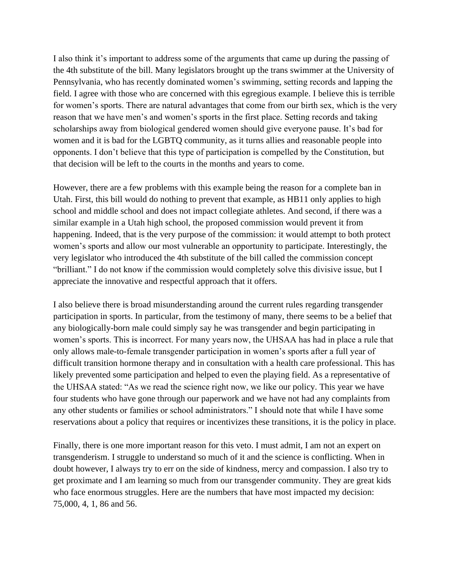I also think it's important to address some of the arguments that came up during the passing of the 4th substitute of the bill. Many legislators brought up the trans swimmer at the University of Pennsylvania, who has recently dominated women's swimming, setting records and lapping the field. I agree with those who are concerned with this egregious example. I believe this is terrible for women's sports. There are natural advantages that come from our birth sex, which is the very reason that we have men's and women's sports in the first place. Setting records and taking scholarships away from biological gendered women should give everyone pause. It's bad for women and it is bad for the LGBTQ community, as it turns allies and reasonable people into opponents. I don't believe that this type of participation is compelled by the Constitution, but that decision will be left to the courts in the months and years to come.

However, there are a few problems with this example being the reason for a complete ban in Utah. First, this bill would do nothing to prevent that example, as HB11 only applies to high school and middle school and does not impact collegiate athletes. And second, if there was a similar example in a Utah high school, the proposed commission would prevent it from happening. Indeed, that is the very purpose of the commission: it would attempt to both protect women's sports and allow our most vulnerable an opportunity to participate. Interestingly, the very legislator who introduced the 4th substitute of the bill called the commission concept "brilliant." I do not know if the commission would completely solve this divisive issue, but I appreciate the innovative and respectful approach that it offers.

I also believe there is broad misunderstanding around the current rules regarding transgender participation in sports. In particular, from the testimony of many, there seems to be a belief that any biologically-born male could simply say he was transgender and begin participating in women's sports. This is incorrect. For many years now, the UHSAA has had in place a rule that only allows male-to-female transgender participation in women's sports after a full year of difficult transition hormone therapy and in consultation with a health care professional. This has likely prevented some participation and helped to even the playing field. As a representative of the UHSAA stated: "As we read the science right now, we like our policy. This year we have four students who have gone through our paperwork and we have not had any complaints from any other students or families or school administrators." I should note that while I have some reservations about a policy that requires or incentivizes these transitions, it is the policy in place.

Finally, there is one more important reason for this veto. I must admit, I am not an expert on transgenderism. I struggle to understand so much of it and the science is conflicting. When in doubt however, I always try to err on the side of kindness, mercy and compassion. I also try to get proximate and I am learning so much from our transgender community. They are great kids who face enormous struggles. Here are the numbers that have most impacted my decision: 75,000, 4, 1, 86 and 56.